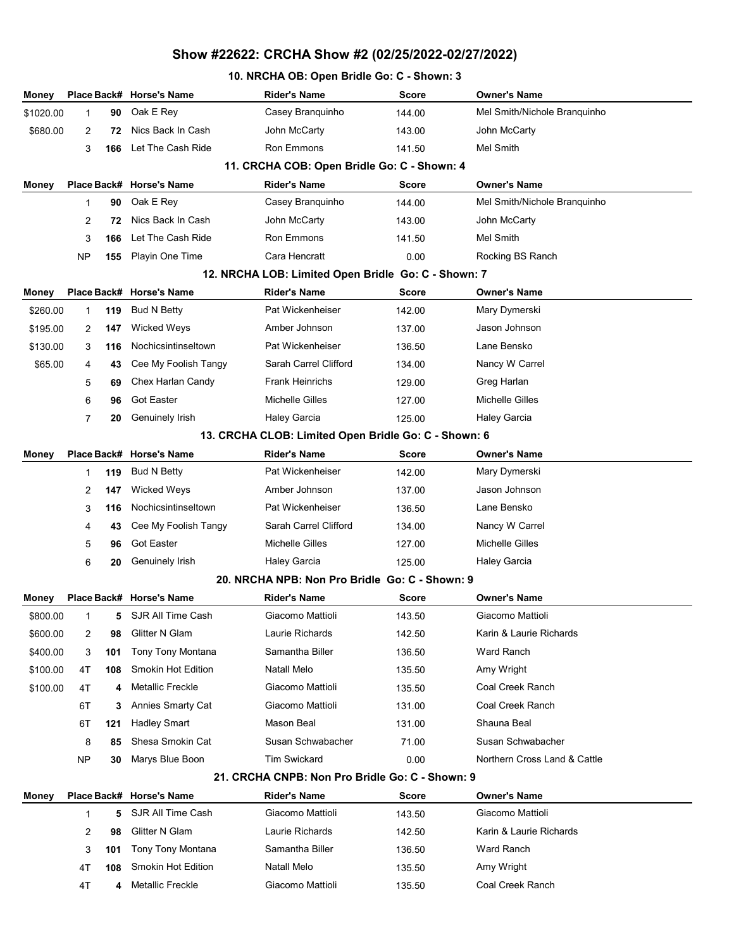### 10. NRCHA OB: Open Bridle Go: C - Shown: 3

| Money     |             |     | Place Back# Horse's Name | Rider's Name                                         | <b>Score</b> | <b>Owner's Name</b>          |  |
|-----------|-------------|-----|--------------------------|------------------------------------------------------|--------------|------------------------------|--|
| \$1020.00 | $\mathbf 1$ | 90  | Oak E Rey                | Casey Branquinho                                     | 144.00       | Mel Smith/Nichole Branquinho |  |
| \$680.00  | 2           | 72  | Nics Back In Cash        | John McCarty                                         | 143.00       | John McCarty                 |  |
|           | 3           | 166 | Let The Cash Ride        | Ron Emmons                                           | 141.50       | Mel Smith                    |  |
|           |             |     |                          | 11. CRCHA COB: Open Bridle Go: C - Shown: 4          |              |                              |  |
| Money     |             |     | Place Back# Horse's Name | <b>Rider's Name</b>                                  | <b>Score</b> | <b>Owner's Name</b>          |  |
|           | 1           | 90  | Oak E Rey                | Casey Branguinho                                     | 144.00       | Mel Smith/Nichole Branquinho |  |
|           | 2           | 72  | Nics Back In Cash        | John McCarty                                         | 143.00       | John McCarty                 |  |
|           | 3           | 166 | Let The Cash Ride        | <b>Ron Emmons</b>                                    | 141.50       | Mel Smith                    |  |
|           | NP          | 155 | Playin One Time          | Cara Hencratt                                        | 0.00         | Rocking BS Ranch             |  |
|           |             |     |                          | 12. NRCHA LOB: Limited Open Bridle Go: C - Shown: 7  |              |                              |  |
| Money     |             |     | Place Back# Horse's Name | <b>Rider's Name</b>                                  | <b>Score</b> | <b>Owner's Name</b>          |  |
| \$260.00  | 1           | 119 | Bud N Betty              | Pat Wickenheiser                                     | 142.00       | Mary Dymerski                |  |
| \$195.00  | 2           | 147 | <b>Wicked Weys</b>       | Amber Johnson                                        | 137.00       | Jason Johnson                |  |
| \$130.00  | 3           | 116 | Nochicsintinseltown      | Pat Wickenheiser                                     | 136.50       | Lane Bensko                  |  |
| \$65.00   | 4           | 43  | Cee My Foolish Tangy     | Sarah Carrel Clifford                                | 134.00       | Nancy W Carrel               |  |
|           | 5           | 69  | Chex Harlan Candy        | <b>Frank Heinrichs</b>                               | 129.00       | Greg Harlan                  |  |
|           | 6           | 96  | <b>Got Easter</b>        | <b>Michelle Gilles</b>                               | 127.00       | <b>Michelle Gilles</b>       |  |
|           | 7           | 20  | Genuinely Irish          | <b>Haley Garcia</b>                                  | 125.00       | <b>Haley Garcia</b>          |  |
|           |             |     |                          | 13. CRCHA CLOB: Limited Open Bridle Go: C - Shown: 6 |              |                              |  |
| Money     |             |     | Place Back# Horse's Name | <b>Rider's Name</b>                                  | <b>Score</b> | <b>Owner's Name</b>          |  |
|           | 1           | 119 | Bud N Betty              | Pat Wickenheiser                                     | 142.00       | Mary Dymerski                |  |
|           | 2           | 147 | Wicked Weys              | Amber Johnson                                        | 137.00       | Jason Johnson                |  |
|           | 3           | 116 | Nochicsintinseltown      | Pat Wickenheiser                                     | 136.50       | Lane Bensko                  |  |
|           | 4           | 43  | Cee My Foolish Tangy     | Sarah Carrel Clifford                                | 134.00       | Nancy W Carrel               |  |
|           | 5           | 96  | <b>Got Easter</b>        | Michelle Gilles                                      | 127.00       | Michelle Gilles              |  |
|           | 6           | 20  | Genuinely Irish          | Haley Garcia                                         | 125.00       | <b>Haley Garcia</b>          |  |
|           |             |     |                          | 20. NRCHA NPB: Non Pro Bridle Go: C - Shown: 9       |              |                              |  |
| Money     |             |     | Place Back# Horse's Name | <b>Rider's Name</b>                                  | <b>Score</b> | Owner's Name                 |  |
| \$800.00  | 1           |     | 5 SJR All Time Cash      | Giacomo Mattioli                                     | 143.50       | Giacomo Mattioli             |  |
| \$600.00  | 2           | 98  | Glitter N Glam           | Laurie Richards                                      | 142.50       | Karin & Laurie Richards      |  |
| \$400.00  | 3           | 101 | Tony Tony Montana        | Samantha Biller                                      | 136.50       | Ward Ranch                   |  |
| \$100.00  | 4T          | 108 | Smokin Hot Edition       | Natall Melo                                          | 135.50       | Amy Wright                   |  |
| \$100.00  | 4T          | 4   | Metallic Freckle         | Giacomo Mattioli                                     | 135.50       | Coal Creek Ranch             |  |
|           | 6T          | 3   | <b>Annies Smarty Cat</b> | Giacomo Mattioli                                     | 131.00       | Coal Creek Ranch             |  |
|           | 6T          | 121 | <b>Hadley Smart</b>      | Mason Beal                                           | 131.00       | Shauna Beal                  |  |
|           | 8           | 85  | Shesa Smokin Cat         | Susan Schwabacher                                    | 71.00        | Susan Schwabacher            |  |
|           | NP          | 30  | Marys Blue Boon          | <b>Tim Swickard</b>                                  | 0.00         | Northern Cross Land & Cattle |  |
|           |             |     |                          | 21. CRCHA CNPB: Non Pro Bridle Go: C - Shown: 9      |              |                              |  |
| Money     |             |     | Place Back# Horse's Name | <b>Rider's Name</b>                                  | Score        | <b>Owner's Name</b>          |  |
|           | 1           | 5   | SJR All Time Cash        | Giacomo Mattioli                                     | 143.50       | Giacomo Mattioli             |  |
|           | 2           | 98  | Glitter N Glam           | Laurie Richards                                      | 142.50       | Karin & Laurie Richards      |  |
|           | 3           | 101 | Tony Tony Montana        | Samantha Biller                                      | 136.50       | Ward Ranch                   |  |
|           | 4T          | 108 | Smokin Hot Edition       | Natall Melo                                          | 135.50       | Amy Wright                   |  |
|           | 4T          | 4   | Metallic Freckle         | Giacomo Mattioli                                     | 135.50       | Coal Creek Ranch             |  |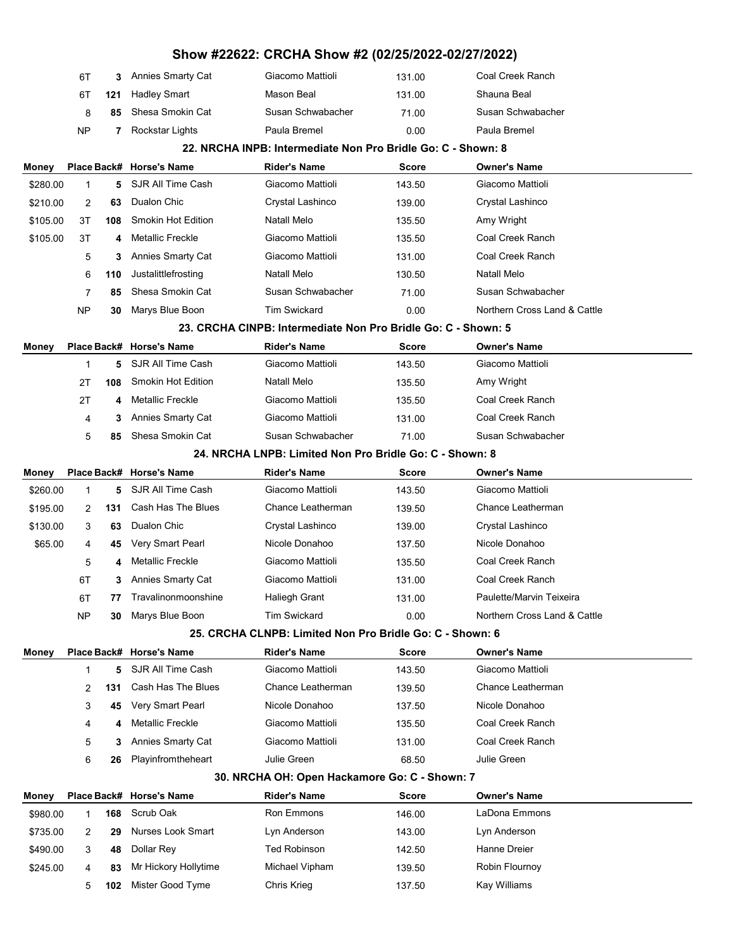|          |             |     |                          | Show #22622: CRCHA Show #2 (02/25/2022-02/27/2022)            |              |                              |  |
|----------|-------------|-----|--------------------------|---------------------------------------------------------------|--------------|------------------------------|--|
|          | 6T          | 3   | <b>Annies Smarty Cat</b> | Giacomo Mattioli                                              | 131.00       | Coal Creek Ranch             |  |
|          | 6T          | 121 | Hadley Smart             | Mason Beal                                                    | 131.00       | Shauna Beal                  |  |
|          | 8           | 85  | Shesa Smokin Cat         | Susan Schwabacher                                             | 71.00        | Susan Schwabacher            |  |
|          | NP          | 7   | Rockstar Lights          | Paula Bremel                                                  | 0.00         | Paula Bremel                 |  |
|          |             |     |                          | 22. NRCHA INPB: Intermediate Non Pro Bridle Go: C - Shown: 8  |              |                              |  |
| Money    |             |     | Place Back# Horse's Name | <b>Rider's Name</b>                                           | Score        | <b>Owner's Name</b>          |  |
| \$280.00 | 1           | 5   | SJR All Time Cash        | Giacomo Mattioli                                              | 143.50       | Giacomo Mattioli             |  |
| \$210.00 | 2           | 63  | Dualon Chic              | Crystal Lashinco                                              | 139.00       | Crystal Lashinco             |  |
| \$105.00 | ЗT          | 108 | Smokin Hot Edition       | Natall Melo                                                   | 135.50       | Amy Wright                   |  |
| \$105.00 | 3T          | 4   | <b>Metallic Freckle</b>  | Giacomo Mattioli                                              | 135.50       | Coal Creek Ranch             |  |
|          | 5           | 3   | <b>Annies Smarty Cat</b> | Giacomo Mattioli                                              | 131.00       | Coal Creek Ranch             |  |
|          | 6           | 110 | Justalittlefrosting      | <b>Natall Melo</b>                                            | 130.50       | Natall Melo                  |  |
|          | 7           | 85  | Shesa Smokin Cat         | Susan Schwabacher                                             | 71.00        | Susan Schwabacher            |  |
|          | NP          | 30  | Marys Blue Boon          | <b>Tim Swickard</b>                                           | 0.00         | Northern Cross Land & Cattle |  |
|          |             |     |                          | 23. CRCHA CINPB: Intermediate Non Pro Bridle Go: C - Shown: 5 |              |                              |  |
| Money    | Place Back# |     | <b>Horse's Name</b>      | <b>Rider's Name</b>                                           | <b>Score</b> | <b>Owner's Name</b>          |  |
|          | 1           | 5   | SJR All Time Cash        | Giacomo Mattioli                                              | 143.50       | Giacomo Mattioli             |  |
|          | 2T          | 108 | Smokin Hot Edition       | <b>Natall Melo</b>                                            | 135.50       | Amy Wright                   |  |
|          | 2Τ          | 4   | <b>Metallic Freckle</b>  | Giacomo Mattioli                                              | 135.50       | Coal Creek Ranch             |  |
|          | 4           | 3   | Annies Smarty Cat        | Giacomo Mattioli                                              | 131.00       | Coal Creek Ranch             |  |
|          | 5           | 85  | Shesa Smokin Cat         | Susan Schwabacher                                             | 71.00        | Susan Schwabacher            |  |
|          |             |     |                          | 24. NRCHA LNPB: Limited Non Pro Bridle Go: C - Shown: 8       |              |                              |  |
| Money    |             |     | Place Back# Horse's Name | <b>Rider's Name</b>                                           | <b>Score</b> | <b>Owner's Name</b>          |  |
| \$260.00 | 1           | 5   | SJR All Time Cash        | Giacomo Mattioli                                              | 143.50       | Giacomo Mattioli             |  |
| \$195.00 | 2           | 131 | Cash Has The Blues       | Chance Leatherman                                             | 139.50       | Chance Leatherman            |  |
| \$130.00 | 3           | 63  | Dualon Chic              | Crystal Lashinco                                              | 139.00       | Crystal Lashinco             |  |
| \$65.00  | 4           | 45  | Very Smart Pearl         | Nicole Donahoo                                                | 137.50       | Nicole Donahoo               |  |
|          | 5           | 4   | <b>Metallic Freckle</b>  | Giacomo Mattioli                                              | 135.50       | Coal Creek Ranch             |  |
|          | 6Т          | 3   | Annies Smarty Cat        | Giacomo Mattioli                                              | 131.00       | Coal Creek Ranch             |  |
|          | 6T          | 77  | Travalinonmoonshine      | <b>Haliegh Grant</b>                                          | 131.00       | Paulette/Marvin Teixeira     |  |
|          | <b>NP</b>   | 30  | Marys Blue Boon          | <b>Tim Swickard</b>                                           | 0.00         | Northern Cross Land & Cattle |  |
|          |             |     |                          | 25. CRCHA CLNPB: Limited Non Pro Bridle Go: C - Shown: 6      |              |                              |  |
| Money    |             |     | Place Back# Horse's Name | <b>Rider's Name</b>                                           | <b>Score</b> | <b>Owner's Name</b>          |  |
|          | 1           | 5   | SJR All Time Cash        | Giacomo Mattioli                                              | 143.50       | Giacomo Mattioli             |  |
|          | 2           | 131 | Cash Has The Blues       | Chance Leatherman                                             | 139.50       | Chance Leatherman            |  |
|          | 3           | 45  | Very Smart Pearl         | Nicole Donahoo                                                | 137.50       | Nicole Donahoo               |  |
|          | 4           | 4   | <b>Metallic Freckle</b>  | Giacomo Mattioli                                              | 135.50       | Coal Creek Ranch             |  |
|          | 5           | 3   | <b>Annies Smarty Cat</b> | Giacomo Mattioli                                              | 131.00       | Coal Creek Ranch             |  |
|          | 6           | 26  | Playinfromtheheart       | Julie Green                                                   | 68.50        | Julie Green                  |  |
|          |             |     |                          | 30. NRCHA OH: Open Hackamore Go: C - Shown: 7                 |              |                              |  |
| Money    |             |     | Place Back# Horse's Name | <b>Rider's Name</b>                                           | Score        | <b>Owner's Name</b>          |  |
| \$980.00 | 1           | 168 | Scrub Oak                | Ron Emmons                                                    | 146.00       | LaDona Emmons                |  |
| \$735.00 | 2           | 29  | <b>Nurses Look Smart</b> | Lyn Anderson                                                  | 143.00       | Lyn Anderson                 |  |
| \$490.00 | 3           | 48  | Dollar Rey               | <b>Ted Robinson</b>                                           | 142.50       | Hanne Dreier                 |  |
| \$245.00 | 4           | 83  | Mr Hickory Hollytime     | Michael Vipham                                                | 139.50       | Robin Flournoy               |  |
|          | 5           | 102 | Mister Good Tyme         | Chris Krieg                                                   | 137.50       | Kay Williams                 |  |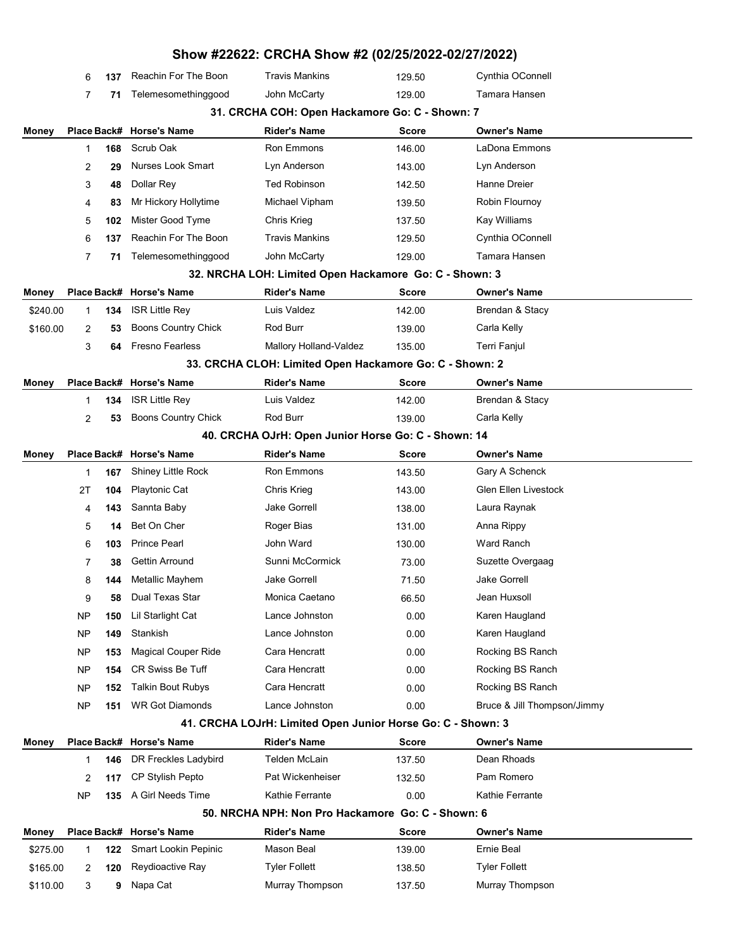|          |             |     |                            | Show #22622: CRCHA Show #2 (02/25/2022-02/27/2022)          |              |                             |
|----------|-------------|-----|----------------------------|-------------------------------------------------------------|--------------|-----------------------------|
|          | 6           | 137 | Reachin For The Boon       | <b>Travis Mankins</b>                                       | 129.50       | Cynthia OConnell            |
|          | 7           | 71  | Telemesomethinggood        | John McCarty                                                | 129.00       | Tamara Hansen               |
|          |             |     |                            | 31. CRCHA COH: Open Hackamore Go: C - Shown: 7              |              |                             |
| Money    | Place Back# |     | <b>Horse's Name</b>        | <b>Rider's Name</b>                                         | <b>Score</b> | <b>Owner's Name</b>         |
|          | 1           | 168 | Scrub Oak                  | Ron Emmons                                                  | 146.00       | LaDona Emmons               |
|          | 2           | 29  | <b>Nurses Look Smart</b>   | Lyn Anderson                                                | 143.00       | Lyn Anderson                |
|          | 3           | 48  | Dollar Rey                 | <b>Ted Robinson</b>                                         | 142.50       | Hanne Dreier                |
|          | 4           | 83  | Mr Hickory Hollytime       | Michael Vipham                                              | 139.50       | Robin Flournoy              |
|          | 5           | 102 | Mister Good Tyme           | Chris Krieg                                                 | 137.50       | Kay Williams                |
|          | 6           | 137 | Reachin For The Boon       | <b>Travis Mankins</b>                                       | 129.50       | Cynthia OConnell            |
|          | 7           | 71  | Telemesomethinggood        | John McCarty                                                | 129.00       | Tamara Hansen               |
|          |             |     |                            | 32. NRCHA LOH: Limited Open Hackamore Go: C - Shown: 3      |              |                             |
| Money    | Place Back# |     | <b>Horse's Name</b>        | <b>Rider's Name</b>                                         | <b>Score</b> | <b>Owner's Name</b>         |
| \$240.00 | 1           | 134 | <b>ISR Little Rey</b>      | Luis Valdez                                                 | 142.00       | Brendan & Stacy             |
| \$160.00 | 2           | 53  | <b>Boons Country Chick</b> | Rod Burr                                                    | 139.00       | Carla Kelly                 |
|          | 3           | 64  | <b>Fresno Fearless</b>     | Mallory Holland-Valdez                                      | 135.00       | <b>Terri Fanjul</b>         |
|          |             |     |                            | 33. CRCHA CLOH: Limited Open Hackamore Go: C - Shown: 2     |              |                             |
| Money    | Place Back# |     | <b>Horse's Name</b>        | <b>Rider's Name</b>                                         | <b>Score</b> | <b>Owner's Name</b>         |
|          | 1           | 134 | <b>ISR Little Rey</b>      | Luis Valdez                                                 | 142.00       | Brendan & Stacy             |
|          | 2           | 53  | Boons Country Chick        | Rod Burr                                                    | 139.00       | Carla Kelly                 |
|          |             |     |                            | 40. CRCHA OJrH: Open Junior Horse Go: C - Shown: 14         |              |                             |
| Money    | Place Back# |     | <b>Horse's Name</b>        | <b>Rider's Name</b>                                         | <b>Score</b> | <b>Owner's Name</b>         |
|          | 1           | 167 | Shiney Little Rock         | Ron Emmons                                                  | 143.50       | Gary A Schenck              |
|          | 2T          | 104 | <b>Playtonic Cat</b>       | Chris Krieg                                                 | 143.00       | <b>Glen Ellen Livestock</b> |
|          | 4           | 143 | Sannta Baby                | <b>Jake Gorrell</b>                                         | 138.00       | Laura Raynak                |
|          | 5           | 14  | Bet On Cher                | Roger Bias                                                  | 131.00       | Anna Rippy                  |
|          | 6           | 103 | <b>Prince Pearl</b>        | John Ward                                                   | 130.00       | Ward Ranch                  |
|          | 7           | 38  | Gettin Arround             | Sunni McCormick                                             | 73.00        | Suzette Overgaag            |
|          | 8           | 144 | Metallic Mayhem            | Jake Gorrell                                                | 71.50        | Jake Gorrell                |
|          | 9           | 58  | Dual Texas Star            | Monica Caetano                                              | 66.50        | Jean Huxsoll                |
|          | NP          | 150 | Lil Starlight Cat          | Lance Johnston                                              | 0.00         | Karen Haugland              |
|          | NP          | 149 | Stankish                   | Lance Johnston                                              | 0.00         | Karen Haugland              |
|          | NP          | 153 | <b>Magical Couper Ride</b> | Cara Hencratt                                               | 0.00         | Rocking BS Ranch            |
|          | NP          | 154 | <b>CR Swiss Be Tuff</b>    | Cara Hencratt                                               | 0.00         | Rocking BS Ranch            |
|          | NP          | 152 | <b>Talkin Bout Rubys</b>   | Cara Hencratt                                               | 0.00         | Rocking BS Ranch            |
|          | NP          | 151 | <b>WR Got Diamonds</b>     | Lance Johnston                                              | 0.00         | Bruce & Jill Thompson/Jimmy |
|          |             |     |                            | 41. CRCHA LOJrH: Limited Open Junior Horse Go: C - Shown: 3 |              |                             |
| Money    | Place Back# |     | <b>Horse's Name</b>        | <b>Rider's Name</b>                                         | <b>Score</b> | <b>Owner's Name</b>         |
|          | 1           | 146 | DR Freckles Ladybird       | Telden McLain                                               | 137.50       | Dean Rhoads                 |
|          | 2           | 117 | CP Stylish Pepto           | Pat Wickenheiser                                            | 132.50       | Pam Romero                  |
|          | NP          | 135 | A Girl Needs Time          | Kathie Ferrante                                             | 0.00         | Kathie Ferrante             |
|          |             |     |                            | 50. NRCHA NPH: Non Pro Hackamore Go: C - Shown: 6           |              |                             |
| Money    | Place Back# |     | <b>Horse's Name</b>        | <b>Rider's Name</b>                                         | Score        | <b>Owner's Name</b>         |
| \$275.00 | 1           | 122 | Smart Lookin Pepinic       | Mason Beal                                                  | 139.00       | Ernie Beal                  |
| \$165.00 | 2           | 120 | Reydioactive Ray           | <b>Tyler Follett</b>                                        | 138.50       | <b>Tyler Follett</b>        |
| \$110.00 | 3           | 9   | Napa Cat                   | Murray Thompson                                             | 137.50       | Murray Thompson             |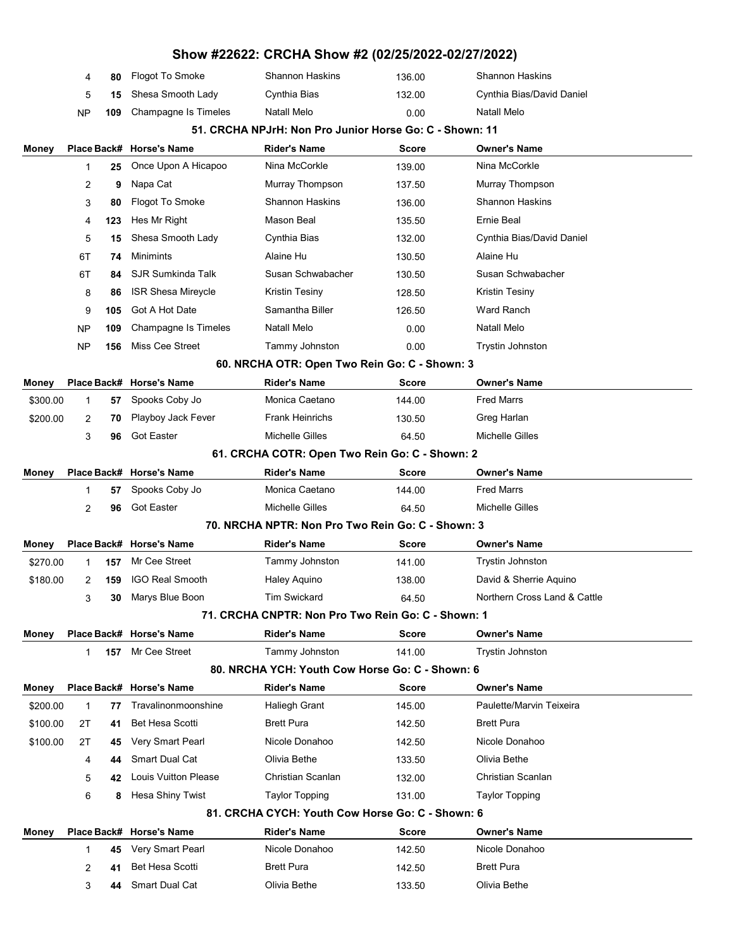|               | 80 | Flogot To Smoke                 | Shannon Haskins | 136.00 | <b>Shannon Haskins</b>    |
|---------------|----|---------------------------------|-----------------|--------|---------------------------|
| $\mathcal{F}$ |    | <b>15</b> Shesa Smooth Lady     | Cynthia Bias    | 132.00 | Cynthia Bias/David Daniel |
| NP.           |    | <b>109</b> Champagne Is Timeles | Natall Melo     | 0.00   | Natall Melo               |

#### 51. CRCHA NPJrH: Non Pro Junior Horse Go: C - Shown: 11

| Money        |    |     | Place Back# Horse's Name    | <b>Rider's Name</b>                                | <b>Score</b> | <b>Owner's Name</b>          |
|--------------|----|-----|-----------------------------|----------------------------------------------------|--------------|------------------------------|
|              | 1  | 25  | Once Upon A Hicapoo         | Nina McCorkle                                      | 139.00       | Nina McCorkle                |
|              | 2  | 9   | Napa Cat                    | Murray Thompson                                    | 137.50       | Murray Thompson              |
|              | 3  | 80  | Flogot To Smoke             | <b>Shannon Haskins</b>                             | 136.00       | <b>Shannon Haskins</b>       |
|              | 4  | 123 | Hes Mr Right                | Mason Beal                                         | 135.50       | Ernie Beal                   |
|              | 5  | 15  | Shesa Smooth Lady           | Cynthia Bias                                       | 132.00       | Cynthia Bias/David Daniel    |
|              | 6T | 74  | Minimints                   | Alaine Hu                                          | 130.50       | Alaine Hu                    |
|              | 6T | 84  | <b>SJR Sumkinda Talk</b>    | Susan Schwabacher                                  | 130.50       | Susan Schwabacher            |
|              | 8  | 86  | <b>ISR Shesa Mireycle</b>   | <b>Kristin Tesiny</b>                              | 128.50       | Kristin Tesiny               |
|              | 9  | 105 | Got A Hot Date              | Samantha Biller                                    | 126.50       | Ward Ranch                   |
|              | NP | 109 | Champagne Is Timeles        | Natall Melo                                        | 0.00         | Natall Melo                  |
|              | NP | 156 | Miss Cee Street             | Tammy Johnston                                     | 0.00         | <b>Trystin Johnston</b>      |
|              |    |     |                             | 60. NRCHA OTR: Open Two Rein Go: C - Shown: 3      |              |                              |
| Money        |    |     | Place Back# Horse's Name    | <b>Rider's Name</b>                                | <b>Score</b> | <b>Owner's Name</b>          |
| \$300.00     | 1  | 57  | Spooks Coby Jo              | Monica Caetano                                     | 144.00       | <b>Fred Marrs</b>            |
| \$200.00     | 2  | 70  | Playboy Jack Fever          | <b>Frank Heinrichs</b>                             | 130.50       | Greg Harlan                  |
|              | 3  | 96  | <b>Got Easter</b>           | <b>Michelle Gilles</b>                             | 64.50        | <b>Michelle Gilles</b>       |
|              |    |     |                             | 61. CRCHA COTR: Open Two Rein Go: C - Shown: 2     |              |                              |
| Money        |    |     | Place Back# Horse's Name    | <b>Rider's Name</b>                                | <b>Score</b> | <b>Owner's Name</b>          |
|              | 1  | 57  | Spooks Coby Jo              | Monica Caetano                                     | 144.00       | <b>Fred Marrs</b>            |
|              | 2  | 96  | <b>Got Easter</b>           | Michelle Gilles                                    | 64.50        | <b>Michelle Gilles</b>       |
|              |    |     |                             | 70. NRCHA NPTR: Non Pro Two Rein Go: C - Shown: 3  |              |                              |
| Money        |    |     | Place Back# Horse's Name    | <b>Rider's Name</b>                                | <b>Score</b> | <b>Owner's Name</b>          |
| \$270.00     | 1  | 157 | Mr Cee Street               | Tammy Johnston                                     | 141.00       | <b>Trystin Johnston</b>      |
| \$180.00     | 2  | 159 | <b>IGO Real Smooth</b>      | Haley Aquino                                       | 138.00       | David & Sherrie Aquino       |
|              | 3  | 30  | Marys Blue Boon             | <b>Tim Swickard</b>                                | 64.50        | Northern Cross Land & Cattle |
|              |    |     |                             | 71. CRCHA CNPTR: Non Pro Two Rein Go: C - Shown: 1 |              |                              |
| Money        |    |     | Place Back# Horse's Name    | <b>Rider's Name</b>                                | <b>Score</b> | <b>Owner's Name</b>          |
|              | 1  | 157 | Mr Cee Street               | Tammy Johnston                                     | 141.00       | Trystin Johnston             |
|              |    |     |                             | 80. NRCHA YCH: Youth Cow Horse Go: C - Shown: 6    |              |                              |
| <b>Money</b> |    |     | Place Back# Horse's Name    | <b>Rider's Name</b>                                | <b>Score</b> | <b>Owner's Name</b>          |
| \$200.00     | 1  | 77  | Travalinonmoonshine         | <b>Haliegh Grant</b>                               | 145.00       | Paulette/Marvin Teixeira     |
| \$100.00     | 2Τ | 41  | Bet Hesa Scotti             | <b>Brett Pura</b>                                  | 142.50       | <b>Brett Pura</b>            |
| \$100.00     | 2T | 45  | Very Smart Pearl            | Nicole Donahoo                                     | 142.50       | Nicole Donahoo               |
|              | 4  | 44  | <b>Smart Dual Cat</b>       | Olivia Bethe                                       | 133.50       | Olivia Bethe                 |
|              | 5  | 42  | <b>Louis Vuitton Please</b> | Christian Scanlan                                  | 132.00       | <b>Christian Scanlan</b>     |
|              | 6  | 8   | Hesa Shiny Twist            | <b>Taylor Topping</b>                              | 131.00       | <b>Taylor Topping</b>        |
|              |    |     |                             | 81. CRCHA CYCH: Youth Cow Horse Go: C - Shown: 6   |              |                              |
| Money        |    |     | Place Back# Horse's Name    | <b>Rider's Name</b>                                | <b>Score</b> | <b>Owner's Name</b>          |
|              | 1  | 45  | Very Smart Pearl            | Nicole Donahoo                                     | 142.50       | Nicole Donahoo               |
|              | 2  | 41  | <b>Bet Hesa Scotti</b>      | <b>Brett Pura</b>                                  | 142.50       | <b>Brett Pura</b>            |
|              | 3  | 44  | Smart Dual Cat              | Olivia Bethe                                       | 133.50       | Olivia Bethe                 |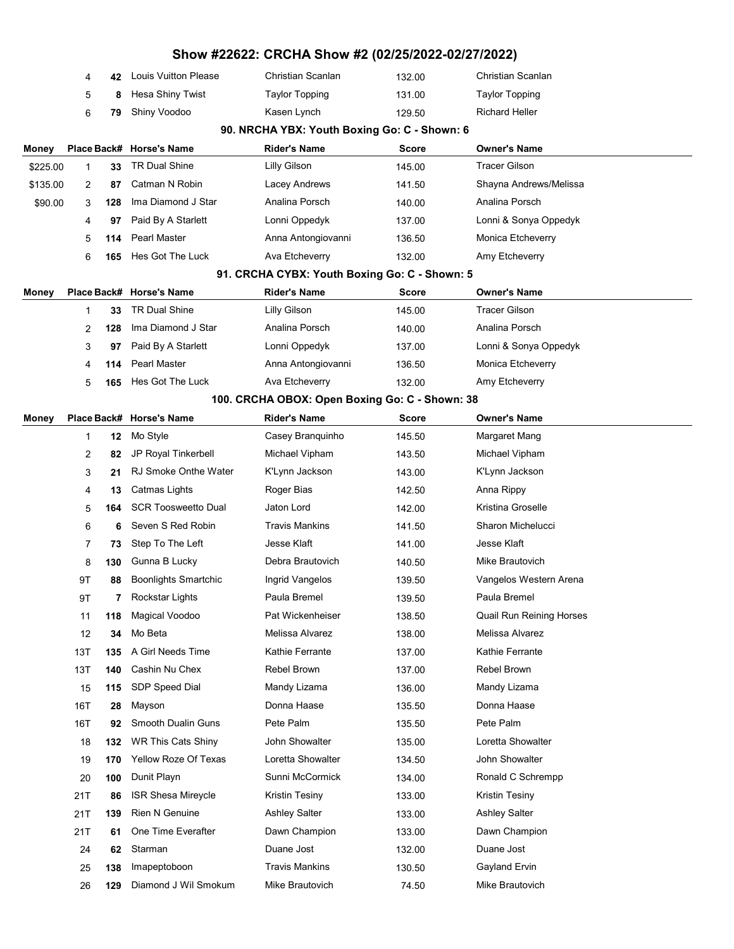|          |     |     |                             | Show #22622: CRCHA Show #2 (02/25/2022-02/27/2022) |              |                          |  |
|----------|-----|-----|-----------------------------|----------------------------------------------------|--------------|--------------------------|--|
|          | 4   | 42  | <b>Louis Vuitton Please</b> | Christian Scanlan                                  | 132.00       | Christian Scanlan        |  |
|          | 5   | 8   | Hesa Shiny Twist            | <b>Taylor Topping</b>                              | 131.00       | <b>Taylor Topping</b>    |  |
|          | 6   | 79  | Shiny Voodoo                | Kasen Lynch                                        | 129.50       | <b>Richard Heller</b>    |  |
|          |     |     |                             | 90. NRCHA YBX: Youth Boxing Go: C - Shown: 6       |              |                          |  |
| Money    |     |     | Place Back# Horse's Name    | <b>Rider's Name</b>                                | <b>Score</b> | <b>Owner's Name</b>      |  |
| \$225.00 | 1   | 33  | <b>TR Dual Shine</b>        | Lilly Gilson                                       | 145.00       | <b>Tracer Gilson</b>     |  |
| \$135.00 | 2   | 87  | Catman N Robin              | Lacey Andrews                                      | 141.50       | Shayna Andrews/Melissa   |  |
| \$90.00  | 3   | 128 | Ima Diamond J Star          | Analina Porsch                                     | 140.00       | Analina Porsch           |  |
|          | 4   | 97  | Paid By A Starlett          | Lonni Oppedyk                                      | 137.00       | Lonni & Sonya Oppedyk    |  |
|          | 5   | 114 | Pearl Master                | Anna Antongiovanni                                 | 136.50       | Monica Etcheverry        |  |
|          | 6   | 165 | Hes Got The Luck            | Ava Etcheverry                                     | 132.00       | Amy Etcheverry           |  |
|          |     |     |                             | 91. CRCHA CYBX: Youth Boxing Go: C - Shown: 5      |              |                          |  |
| Money    |     |     | Place Back# Horse's Name    | <b>Rider's Name</b>                                | <b>Score</b> | <b>Owner's Name</b>      |  |
|          | 1   | 33  | <b>TR Dual Shine</b>        | Lilly Gilson                                       | 145.00       | <b>Tracer Gilson</b>     |  |
|          | 2   | 128 | Ima Diamond J Star          | Analina Porsch                                     | 140.00       | Analina Porsch           |  |
|          | 3   | 97  | Paid By A Starlett          | Lonni Oppedyk                                      | 137.00       | Lonni & Sonya Oppedyk    |  |
|          | 4   | 114 | Pearl Master                | Anna Antongiovanni                                 | 136.50       | Monica Etcheverry        |  |
|          | 5   | 165 | Hes Got The Luck            | Ava Etcheverry                                     | 132.00       | Amy Etcheverry           |  |
|          |     |     |                             | 100. CRCHA OBOX: Open Boxing Go: C - Shown: 38     |              |                          |  |
| Money    |     |     | Place Back# Horse's Name    | <b>Rider's Name</b>                                | <b>Score</b> | <b>Owner's Name</b>      |  |
|          | 1   | 12  | Mo Style                    | Casey Branquinho                                   | 145.50       | Margaret Mang            |  |
|          | 2   | 82  | JP Royal Tinkerbell         | Michael Vipham                                     | 143.50       | Michael Vipham           |  |
|          | 3   | 21  | <b>RJ Smoke Onthe Water</b> | K'Lynn Jackson                                     | 143.00       | K'Lynn Jackson           |  |
|          | 4   | 13  | Catmas Lights               | Roger Bias                                         | 142.50       | Anna Rippy               |  |
|          | 5   | 164 | <b>SCR Toosweetto Dual</b>  | Jaton Lord                                         | 142.00       | Kristina Groselle        |  |
|          | 6   | 6   | Seven S Red Robin           | Travis Mankins                                     | 141.50       | Sharon Michelucci        |  |
|          | 7   | 73  | Step To The Left            | Jesse Klaft                                        | 141.00       | Jesse Klaft              |  |
|          | 8   | 130 | Gunna B Lucky               | Debra Brautovich                                   | 140.50       | Mike Brautovich          |  |
|          | 9T  | 88  | <b>Boonlights Smartchic</b> | Ingrid Vangelos                                    | 139.50       | Vangelos Western Arena   |  |
|          | 9Τ  | 7   | Rockstar Lights             | Paula Bremel                                       | 139.50       | Paula Bremel             |  |
|          | 11  | 118 | Magical Voodoo              | Pat Wickenheiser                                   | 138.50       | Quail Run Reining Horses |  |
|          | 12  | 34  | Mo Beta                     | Melissa Alvarez                                    | 138.00       | Melissa Alvarez          |  |
|          | 13T | 135 | A Girl Needs Time           | Kathie Ferrante                                    | 137.00       | Kathie Ferrante          |  |
|          | 13T | 140 | Cashin Nu Chex              | <b>Rebel Brown</b>                                 | 137.00       | Rebel Brown              |  |
|          | 15  | 115 | SDP Speed Dial              | Mandy Lizama                                       | 136.00       | Mandy Lizama             |  |
|          | 16T | 28  | Mayson                      | Donna Haase                                        | 135.50       | Donna Haase              |  |
|          | 16T | 92  | Smooth Dualin Guns          | Pete Palm                                          | 135.50       | Pete Palm                |  |
|          | 18  | 132 | WR This Cats Shiny          | John Showalter                                     | 135.00       | Loretta Showalter        |  |
|          | 19  | 170 | Yellow Roze Of Texas        | Loretta Showalter                                  | 134.50       | John Showalter           |  |
|          | 20  | 100 | Dunit Playn                 | Sunni McCormick                                    | 134.00       | Ronald C Schrempp        |  |
|          | 21T | 86  | <b>ISR Shesa Mireycle</b>   | <b>Kristin Tesiny</b>                              | 133.00       | Kristin Tesiny           |  |
|          | 21T | 139 | <b>Rien N Genuine</b>       | <b>Ashley Salter</b>                               | 133.00       | <b>Ashley Salter</b>     |  |
|          | 21T | 61  | One Time Everafter          | Dawn Champion                                      | 133.00       | Dawn Champion            |  |
|          | 24  | 62  | Starman                     | Duane Jost                                         | 132.00       | Duane Jost               |  |
|          | 25  | 138 | Imapeptoboon                | <b>Travis Mankins</b>                              | 130.50       | Gayland Ervin            |  |
|          | 26  | 129 | Diamond J Wil Smokum        | Mike Brautovich                                    | 74.50        | Mike Brautovich          |  |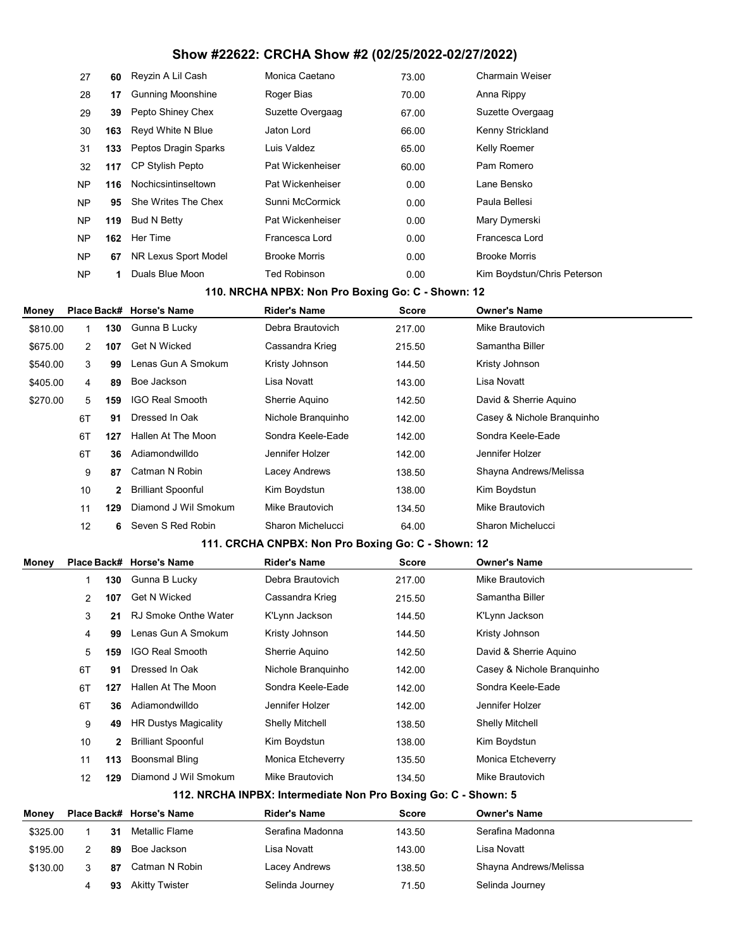| 27  |     | 60 Reyzin A Lil Cash     | Monica Caetano       | 73.00 | Charmain Weiser             |
|-----|-----|--------------------------|----------------------|-------|-----------------------------|
| 28  | 17  | <b>Gunning Moonshine</b> | Roger Bias           | 70.00 | Anna Rippy                  |
| 29  | 39  | Pepto Shiney Chex        | Suzette Overgaag     | 67.00 | Suzette Overgaag            |
| 30  |     | 163 Reyd White N Blue    | Jaton Lord           | 66.00 | Kenny Strickland            |
| 31  |     | 133 Peptos Dragin Sparks | Luis Valdez          | 65.00 | Kelly Roemer                |
| 32  | 117 | CP Stylish Pepto         | Pat Wickenheiser     | 60.00 | Pam Romero                  |
| NP  | 116 | Nochicsintinseltown      | Pat Wickenheiser     | 0.00  | Lane Bensko                 |
| NP. | 95  | She Writes The Chex      | Sunni McCormick      | 0.00  | Paula Bellesi               |
| NP  | 119 | Bud N Betty              | Pat Wickenheiser     | 0.00  | Mary Dymerski               |
| NP  | 162 | Her Time                 | Francesca Lord       | 0.00  | Francesca Lord              |
| NP  | 67  | NR Lexus Sport Model     | <b>Brooke Morris</b> | 0.00  | <b>Brooke Morris</b>        |
| NP  | 1   | Duals Blue Moon          | <b>Ted Robinson</b>  | 0.00  | Kim Boydstun/Chris Peterson |

### 110. NRCHA NPBX: Non Pro Boxing Go: C - Shown: 12

| Money    |                   |                | Place Back# Horse's Name  | <b>Rider's Name</b> | <b>Score</b> | <b>Owner's Name</b>        |
|----------|-------------------|----------------|---------------------------|---------------------|--------------|----------------------------|
| \$810.00 |                   | 130            | Gunna B Lucky             | Debra Brautovich    | 217.00       | Mike Brautovich            |
| \$675.00 | $\overline{2}$    | 107            | <b>Get N Wicked</b>       | Cassandra Krieg     | 215.50       | Samantha Biller            |
| \$540.00 | 3                 | 99             | Lenas Gun A Smokum        | Kristy Johnson      | 144.50       | Kristy Johnson             |
| \$405.00 | 4                 | 89             | Boe Jackson               | Lisa Novatt         | 143.00       | Lisa Novatt                |
| \$270.00 | 5                 | 159            | <b>IGO Real Smooth</b>    | Sherrie Aquino      | 142.50       | David & Sherrie Aguino     |
|          | 6T                | 91             | Dressed In Oak            | Nichole Branquinho  | 142.00       | Casey & Nichole Branguinho |
|          | 6T                | 127            | Hallen At The Moon        | Sondra Keele-Eade   | 142.00       | Sondra Keele-Eade          |
|          | 6T                | 36             | Adiamondwilldo            | Jennifer Holzer     | 142.00       | Jennifer Holzer            |
|          | 9                 | 87             | Catman N Robin            | Lacey Andrews       | 138.50       | Shayna Andrews/Melissa     |
|          | 10                | $\overline{2}$ | <b>Brilliant Spoonful</b> | Kim Boydstun        | 138.00       | Kim Boydstun               |
|          | 11                | 129            | Diamond J Wil Smokum      | Mike Brautovich     | 134.50       | Mike Brautovich            |
|          | $12 \overline{ }$ | 6              | Seven S Red Robin         | Sharon Michelucci   | 64.00        | Sharon Michelucci          |

## 111. CRCHA CNPBX: Non Pro Boxing Go: C - Shown: 12

| Money    |                |     | Place Back# Horse's Name    | <b>Rider's Name</b>                                            | <b>Score</b> | <b>Owner's Name</b>        |
|----------|----------------|-----|-----------------------------|----------------------------------------------------------------|--------------|----------------------------|
|          | 1              | 130 | Gunna B Lucky               | Debra Brautovich                                               | 217.00       | Mike Brautovich            |
|          | $\overline{2}$ | 107 | <b>Get N Wicked</b>         | Cassandra Krieg                                                | 215.50       | Samantha Biller            |
|          | 3              | 21  | <b>RJ Smoke Onthe Water</b> | K'Lynn Jackson                                                 | 144.50       | K'Lynn Jackson             |
|          | 4              | 99  | Lenas Gun A Smokum          | Kristy Johnson                                                 | 144.50       | Kristy Johnson             |
|          | 5              | 159 | <b>IGO Real Smooth</b>      | Sherrie Aquino                                                 | 142.50       | David & Sherrie Aguino     |
|          | 6T             | 91  | Dressed In Oak              | Nichole Branguinho                                             | 142.00       | Casey & Nichole Branguinho |
|          | 6T             | 127 | Hallen At The Moon          | Sondra Keele-Eade                                              | 142.00       | Sondra Keele-Eade          |
|          | 6T             | 36  | Adiamondwilldo              | Jennifer Holzer                                                | 142.00       | Jennifer Holzer            |
|          | 9              | 49  | <b>HR Dustys Magicality</b> | <b>Shelly Mitchell</b>                                         | 138.50       | <b>Shelly Mitchell</b>     |
|          | 10             | 2   | <b>Brilliant Spoonful</b>   | Kim Boydstun                                                   | 138.00       | Kim Boydstun               |
|          | 11             | 113 | Boonsmal Bling              | Monica Etcheverry                                              | 135.50       | Monica Etcheverry          |
|          | 12             | 129 | Diamond J Wil Smokum        | Mike Brautovich                                                | 134.50       | Mike Brautovich            |
|          |                |     |                             | 112. NRCHA INPBX: Intermediate Non Pro Boxing Go: C - Shown: 5 |              |                            |
| Money    |                |     | Place Back# Horse's Name    | <b>Rider's Name</b>                                            | <b>Score</b> | <b>Owner's Name</b>        |
| \$325.00 |                | 31  | <b>Metallic Flame</b>       | Serafina Madonna                                               | 143.50       | Serafina Madonna           |
| \$195.00 | $\overline{2}$ | 89  | Boe Jackson                 | Lisa Novatt                                                    | 143.00       | Lisa Novatt                |
| \$130.00 | 3              | 87  | Catman N Robin              | Lacey Andrews                                                  | 138.50       | Shayna Andrews/Melissa     |
|          | 4              | 93  | <b>Akitty Twister</b>       | Selinda Journey                                                | 71.50        | Selinda Journey            |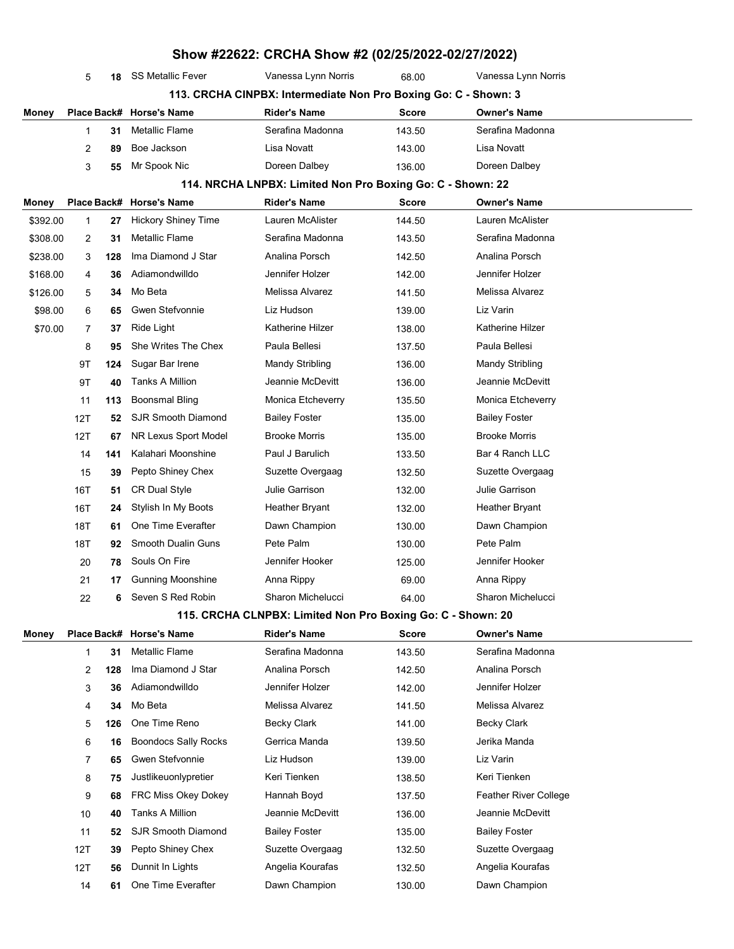|          | Show #22622: CRCHA Show #2 (02/25/2022-02/27/2022) |     |                             |                                                                 |              |                       |  |  |  |
|----------|----------------------------------------------------|-----|-----------------------------|-----------------------------------------------------------------|--------------|-----------------------|--|--|--|
|          | 5                                                  | 18  | <b>SS Metallic Fever</b>    | Vanessa Lynn Norris                                             | 68.00        | Vanessa Lynn Norris   |  |  |  |
|          |                                                    |     |                             | 113. CRCHA CINPBX: Intermediate Non Pro Boxing Go: C - Shown: 3 |              |                       |  |  |  |
| Money    |                                                    |     | Place Back# Horse's Name    | <b>Rider's Name</b>                                             | <b>Score</b> | <b>Owner's Name</b>   |  |  |  |
|          | $\mathbf{1}$                                       | 31  | <b>Metallic Flame</b>       | Serafina Madonna                                                | 143.50       | Serafina Madonna      |  |  |  |
|          | 2                                                  | 89  | Boe Jackson                 | Lisa Novatt                                                     | 143.00       | Lisa Novatt           |  |  |  |
|          | 3                                                  | 55  | Mr Spook Nic                | Doreen Dalbey                                                   | 136.00       | Doreen Dalbey         |  |  |  |
|          |                                                    |     |                             | 114. NRCHA LNPBX: Limited Non Pro Boxing Go: C - Shown: 22      |              |                       |  |  |  |
| Money    |                                                    |     | Place Back# Horse's Name    | <b>Rider's Name</b>                                             | <b>Score</b> | <b>Owner's Name</b>   |  |  |  |
| \$392.00 | 1                                                  | 27  | <b>Hickory Shiney Time</b>  | Lauren McAlister                                                | 144.50       | Lauren McAlister      |  |  |  |
| \$308.00 | 2                                                  | 31  | <b>Metallic Flame</b>       | Serafina Madonna                                                | 143.50       | Serafina Madonna      |  |  |  |
| \$238.00 | 3                                                  | 128 | Ima Diamond J Star          | Analina Porsch                                                  | 142.50       | Analina Porsch        |  |  |  |
| \$168.00 | 4                                                  | 36  | Adiamondwilldo              | Jennifer Holzer                                                 | 142.00       | Jennifer Holzer       |  |  |  |
| \$126.00 | 5                                                  | 34  | Mo Beta                     | Melissa Alvarez                                                 | 141.50       | Melissa Alvarez       |  |  |  |
| \$98.00  | 6                                                  | 65  | <b>Gwen Stefvonnie</b>      | Liz Hudson                                                      | 139.00       | Liz Varin             |  |  |  |
| \$70.00  | $\overline{7}$                                     | 37  | Ride Light                  | Katherine Hilzer                                                | 138.00       | Katherine Hilzer      |  |  |  |
|          | 8                                                  | 95  | She Writes The Chex         | Paula Bellesi                                                   | 137.50       | Paula Bellesi         |  |  |  |
|          | 9Τ                                                 | 124 | Sugar Bar Irene             | Mandy Stribling                                                 | 136.00       | Mandy Stribling       |  |  |  |
|          | 9T                                                 | 40  | <b>Tanks A Million</b>      | Jeannie McDevitt                                                | 136.00       | Jeannie McDevitt      |  |  |  |
|          | 11                                                 | 113 | <b>Boonsmal Bling</b>       | Monica Etcheverry                                               | 135.50       | Monica Etcheverry     |  |  |  |
|          | 12T                                                | 52  | <b>SJR Smooth Diamond</b>   | <b>Bailey Foster</b>                                            | 135.00       | <b>Bailey Foster</b>  |  |  |  |
|          | 12T                                                | 67  | NR Lexus Sport Model        | <b>Brooke Morris</b>                                            | 135.00       | <b>Brooke Morris</b>  |  |  |  |
|          | 14                                                 | 141 | Kalahari Moonshine          | Paul J Barulich                                                 | 133.50       | Bar 4 Ranch LLC       |  |  |  |
|          | 15                                                 | 39  | Pepto Shiney Chex           | Suzette Overgaag                                                | 132.50       | Suzette Overgaag      |  |  |  |
|          | 16T                                                | 51  | <b>CR Dual Style</b>        | Julie Garrison                                                  | 132.00       | <b>Julie Garrison</b> |  |  |  |
|          | 16T                                                | 24  | Stylish In My Boots         | <b>Heather Bryant</b>                                           | 132.00       | <b>Heather Bryant</b> |  |  |  |
|          | 18T                                                | 61  | One Time Everafter          | Dawn Champion                                                   | 130.00       | Dawn Champion         |  |  |  |
|          | 18T                                                | 92  | <b>Smooth Dualin Guns</b>   | Pete Palm                                                       | 130.00       | Pete Palm             |  |  |  |
|          | 20                                                 | 78  | Souls On Fire               | Jennifer Hooker                                                 | 125.00       | Jennifer Hooker       |  |  |  |
|          | 21                                                 | 17  | Gunning Moonshine           | Anna Rippy                                                      | 69.00        | Anna Rippy            |  |  |  |
|          | 22                                                 | 6   | Seven S Red Robin           | Sharon Michelucci                                               | 64.00        | Sharon Michelucci     |  |  |  |
|          |                                                    |     |                             | 115. CRCHA CLNPBX: Limited Non Pro Boxing Go: C - Shown: 20     |              |                       |  |  |  |
| Money    |                                                    |     | Place Back# Horse's Name    | <b>Rider's Name</b>                                             | <b>Score</b> | <b>Owner's Name</b>   |  |  |  |
|          | 1                                                  | 31  | Metallic Flame              | Serafina Madonna                                                | 143.50       | Serafina Madonna      |  |  |  |
|          | 2                                                  | 128 | Ima Diamond J Star          | Analina Porsch                                                  | 142.50       | Analina Porsch        |  |  |  |
|          | 3                                                  | 36  | Adiamondwilldo              | Jennifer Holzer                                                 | 142.00       | Jennifer Holzer       |  |  |  |
|          | 4                                                  | 34  | Mo Beta                     | Melissa Alvarez                                                 | 141.50       | Melissa Alvarez       |  |  |  |
|          | 5                                                  | 126 | One Time Reno               | Becky Clark                                                     | 141.00       | <b>Becky Clark</b>    |  |  |  |
|          | 6                                                  | 16  | <b>Boondocs Sally Rocks</b> | Gerrica Manda                                                   | 139.50       | Jerika Manda          |  |  |  |
|          | 7                                                  | 65  | Gwen Stefvonnie             | Liz Hudson                                                      | 139.00       | Liz Varin             |  |  |  |
|          | 8                                                  | 75  | Justlikeuonlypretier        | Keri Tienken                                                    | 138.50       | Keri Tienken          |  |  |  |
|          | 9                                                  | 68  | FRC Miss Okey Dokey         | Hannah Boyd                                                     | 137.50       | Feather River College |  |  |  |
|          | 10                                                 | 40  | Tanks A Million             | Jeannie McDevitt                                                | 136.00       | Jeannie McDevitt      |  |  |  |
|          | 11                                                 | 52  | <b>SJR Smooth Diamond</b>   | Bailey Foster                                                   | 135.00       | <b>Bailey Foster</b>  |  |  |  |
|          | 12T                                                | 39  | Pepto Shiney Chex           | Suzette Overgaag                                                | 132.50       | Suzette Overgaag      |  |  |  |
|          | 12T                                                | 56  | Dunnit In Lights            | Angelia Kourafas                                                | 132.50       | Angelia Kourafas      |  |  |  |
|          | 14                                                 | 61  | One Time Everafter          | Dawn Champion                                                   | 130.00       | Dawn Champion         |  |  |  |